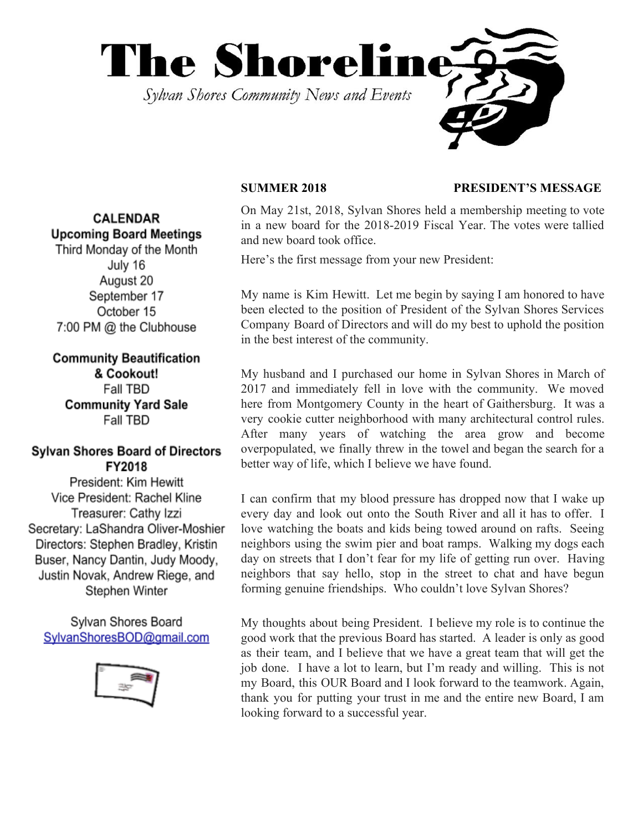

# **SUMMER 2018 PRESIDENT'S MESSAGE**

On May 21st, 2018, Sylvan Shores held a membership meeting to vote in a new board for the 2018-2019 Fiscal Year. The votes were tallied and new board took office.

Here's the first message from your new President:

My name is Kim Hewitt. Let me begin by saying I am honored to have been elected to the position of President of the Sylvan Shores Services Company Board of Directors and will do my best to uphold the position in the best interest of the community.

My husband and I purchased our home in Sylvan Shores in March of 2017 and immediately fell in love with the community. We moved here from Montgomery County in the heart of Gaithersburg. It was a very cookie cutter neighborhood with many architectural control rules. After many years of watching the area grow and become overpopulated, we finally threw in the towel and began the search for a better way of life, which I believe we have found.

I can confirm that my blood pressure has dropped now that I wake up every day and look out onto the South River and all it has to offer. I love watching the boats and kids being towed around on rafts. Seeing neighbors using the swim pier and boat ramps. Walking my dogs each day on streets that I don't fear for my life of getting run over. Having neighbors that say hello, stop in the street to chat and have begun forming genuine friendships. Who couldn't love Sylvan Shores?

My thoughts about being President. I believe my role is to continue the good work that the previous Board has started. A leader is only as good as their team, and I believe that we have a great team that will get the job done. I have a lot to learn, but I'm ready and willing. This is not my Board, this OUR Board and I look forward to the teamwork. Again, thank you for putting your trust in me and the entire new Board, I am looking forward to a successful year.

# **CALENDAR Upcoming Board Meetings**

Third Monday of the Month July 16 August 20 September 17 October 15 7:00 PM @ the Clubhouse

**Community Beautification** & Cookout! Fall TBD **Community Yard Sale** Fall TBD

# **Sylvan Shores Board of Directors** FY2018

President: Kim Hewitt Vice President: Rachel Kline Treasurer: Cathy Izzi Secretary: LaShandra Oliver-Moshier Directors: Stephen Bradley, Kristin Buser, Nancy Dantin, Judy Moody, Justin Novak, Andrew Riege, and Stephen Winter

Sylvan Shores Board SylvanShoresBOD@gmail.com

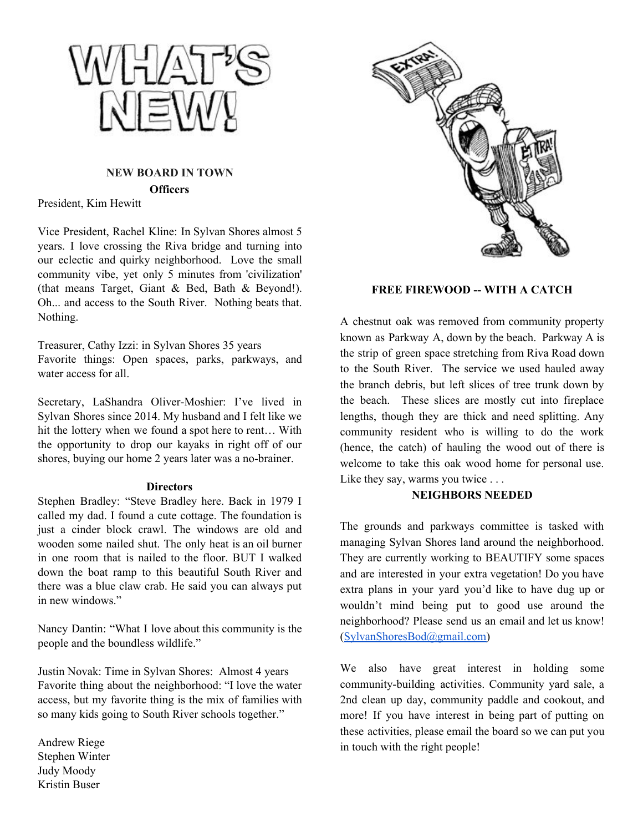

# **NEW BOARD IN TOWN Officers**

President, Kim Hewitt

Vice President, Rachel Kline: In Sylvan Shores almost 5 years. I love crossing the Riva bridge and turning into our eclectic and quirky neighborhood. Love the small community vibe, yet only 5 minutes from 'civilization' (that means Target, Giant & Bed, Bath & Beyond!). Oh... and access to the South River. Nothing beats that. Nothing.

Treasurer, Cathy Izzi: in Sylvan Shores 35 years Favorite things: Open spaces, parks, parkways, and water access for all.

Secretary, LaShandra Oliver-Moshier: I've lived in Sylvan Shores since 2014. My husband and I felt like we hit the lottery when we found a spot here to rent… With the opportunity to drop our kayaks in right off of our shores, buying our home 2 years later was a no-brainer.

## **Directors**

Stephen Bradley: "Steve Bradley here. Back in 1979 I called my dad. I found a cute cottage. The foundation is just a cinder block crawl. The windows are old and wooden some nailed shut. The only heat is an oil burner in one room that is nailed to the floor. BUT I walked down the boat ramp to this beautiful South River and there was a blue claw crab. He said you can always put in new windows."

Nancy Dantin: "What I love about this community is the people and the boundless wildlife."

Justin Novak: Time in Sylvan Shores: Almost 4 years Favorite thing about the neighborhood: "I love the water access, but my favorite thing is the mix of families with so many kids going to South River schools together."

Andrew Riege Stephen Winter Judy Moody Kristin Buser



# **FREE FIREWOOD -- WITH A CATCH**

A chestnut oak was removed from community property known as Parkway A, down by the beach. Parkway A is the strip of green space stretching from Riva Road down to the South River. The service we used hauled away the branch debris, but left slices of tree trunk down by the beach. These slices are mostly cut into fireplace lengths, though they are thick and need splitting. Any community resident who is willing to do the work (hence, the catch) of hauling the wood out of there is welcome to take this oak wood home for personal use. Like they say, warms you twice . . .

## **NEIGHBORS NEEDED**

The grounds and parkways committee is tasked with managing Sylvan Shores land around the neighborhood. They are currently working to BEAUTIFY some spaces and are interested in your extra vegetation! Do you have extra plans in your yard you'd like to have dug up or wouldn't mind being put to good use around the neighborhood? Please send us an email and let us know! ([SylvanShoresBod@gmail.com\)](mailto:SylvanShoresBod@gmail.com)

We also have great interest in holding some community-building activities. Community yard sale, a 2nd clean up day, community paddle and cookout, and more! If you have interest in being part of putting on these activities, please email the board so we can put you in touch with the right people!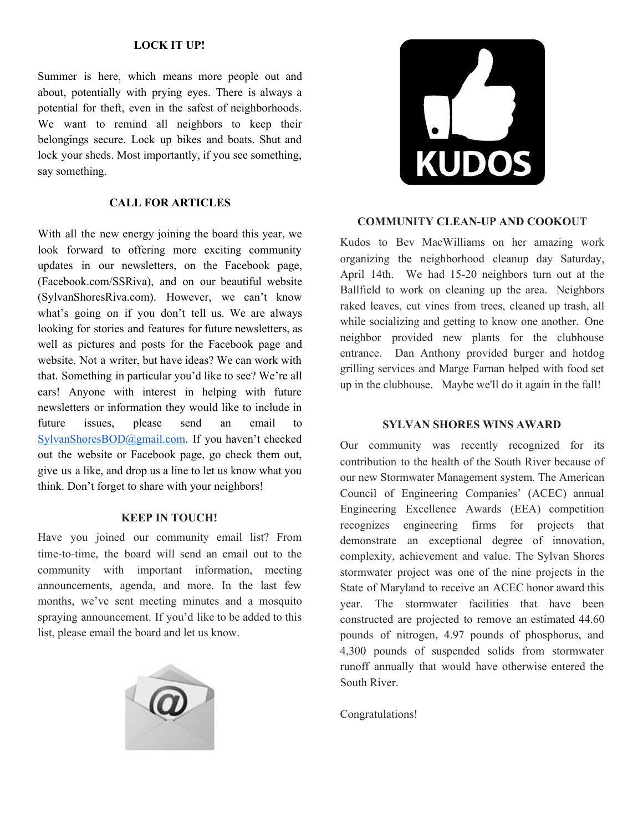### **LOCK IT UP!**

Summer is here, which means more people out and about, potentially with prying eyes. There is always a potential for theft, even in the safest of neighborhoods. We want to remind all neighbors to keep their belongings secure. Lock up bikes and boats. Shut and lock your sheds. Most importantly, if you see something, say something.

# **CALL FOR ARTICLES**

With all the new energy joining the board this year, we look forward to offering more exciting community updates in our newsletters, on the Facebook page, (Facebook.com/SSRiva), and on our beautiful website (SylvanShoresRiva.com). However, we can't know what's going on if you don't tell us. We are always looking for stories and features for future newsletters, as well as pictures and posts for the Facebook page and website. Not a writer, but have ideas? We can work with that. Something in particular you'd like to see? We're all ears! Anyone with interest in helping with future newsletters or information they would like to include in future issues, please send an email to [SylvanShoresBOD@gmail.com](mailto:SylvanShoresBOD@gmail.com). If you haven't checked out the website or Facebook page, go check them out, give us a like, and drop us a line to let us know what you think. Don't forget to share with your neighbors!

## **KEEP IN TOUCH!**

Have you joined our community email list? From time-to-time, the board will send an email out to the community with important information, meeting announcements, agenda, and more. In the last few months, we've sent meeting minutes and a mosquito spraying announcement. If you'd like to be added to this list, please email the board and let us know.





#### **COMMUNITY CLEAN-UP AND COOKOUT**

Kudos to Bev MacWilliams on her amazing work organizing the neighborhood cleanup day Saturday, April 14th. We had 15-20 neighbors turn out at the Ballfield to work on cleaning up the area. Neighbors raked leaves, cut vines from trees, cleaned up trash, all while socializing and getting to know one another. One neighbor provided new plants for the clubhouse entrance. Dan Anthony provided burger and hotdog grilling services and Marge Farnan helped with food set up in the clubhouse. Maybe we'll do it again in the fall!

#### **SYLVAN SHORES WINS AWARD**

Our community was recently recognized for its contribution to the health of the South River because of our new Stormwater Management system. The American Council of Engineering Companies' (ACEC) annual Engineering Excellence Awards (EEA) competition recognizes engineering firms for projects that demonstrate an exceptional degree of innovation, complexity, achievement and value. The Sylvan Shores stormwater project was one of the nine projects in the State of Maryland to receive an ACEC honor award this year. The stormwater facilities that have been constructed are projected to remove an estimated 44.60 pounds of nitrogen, 4.97 pounds of phosphorus, and 4,300 pounds of suspended solids from stormwater runoff annually that would have otherwise entered the South River.

Congratulations!